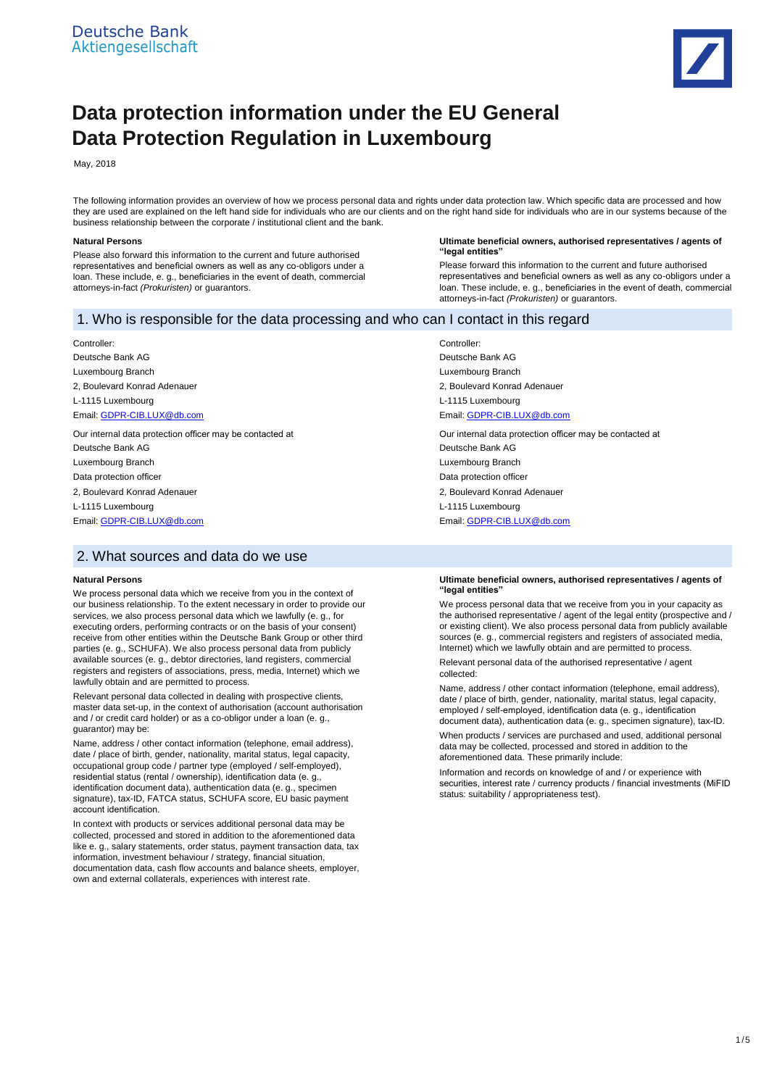

# **Data protection information under the EU General Data Protection Regulation in Luxembourg**

May, 2018

The following information provides an overview of how we process personal data and rights under data protection law. Which specific data are processed and how they are used are explained on the left hand side for individuals who are our clients and on the right hand side for individuals who are in our systems because of the business relationship between the corporate / institutional client and the bank.

#### **Natural Persons**

Please also forward this information to the current and future authorised representatives and beneficial owners as well as any co-obligors under a loan. These include, e. g., beneficiaries in the event of death, commercial attorneys-in-fact *(Prokuristen)* or guarantors.

#### **Ultimate beneficial owners, authorised representatives / agents of "legal entities"**

Please forward this information to the current and future authorised representatives and beneficial owners as well as any co-obligors under a loan. These include, e. g., beneficiaries in the event of death, commercial attorneys-in-fact *(Prokuristen)* or guarantors.

## 1. Who is responsible for the data processing and who can I contact in this regard

Controller: Deutsche Bank AG Luxembourg Branch 2, Boulevard Konrad Adenauer L-1115 Luxembourg Email[: GDPR-CIB.LUX@db.com](mailto:GDPR-CIB.LUX@db.com)

Our internal data protection officer may be contacted at Deutsche Bank AG Luxembourg Branch Data protection officer 2, Boulevard Konrad Adenauer L-1115 Luxembourg Email[: GDPR-CIB.LUX@db.com](mailto:GDPR-CIB.LUX@db.com)

## 2. What sources and data do we use

#### **Natural Persons**

We process personal data which we receive from you in the context of our business relationship. To the extent necessary in order to provide our services, we also process personal data which we lawfully (e. g., for executing orders, performing contracts or on the basis of your consent) receive from other entities within the Deutsche Bank Group or other third parties (e. g., SCHUFA). We also process personal data from publicly available sources (e. g., debtor directories, land registers, commercial registers and registers of associations, press, media, Internet) which we lawfully obtain and are permitted to process.

Relevant personal data collected in dealing with prospective clients, master data set-up, in the context of authorisation (account authorisation and / or credit card holder) or as a co-obligor under a loan (e. g., guarantor) may be:

Name, address / other contact information (telephone, email address), date / place of birth, gender, nationality, marital status, legal capacity, occupational group code / partner type (employed / self-employed), residential status (rental / ownership), identification data (e. g., identification document data), authentication data (e. g., specimen signature), tax-ID, FATCA status, SCHUFA score, EU basic payment account identification.

In context with products or services additional personal data may be collected, processed and stored in addition to the aforementioned data like e. g., salary statements, order status, payment transaction data, tax information, investment behaviour / strategy, financial situation, documentation data, cash flow accounts and balance sheets, employer, own and external collaterals, experiences with interest rate.

Controller: Deutsche Bank AG Luxembourg Branch 2, Boulevard Konrad Adenauer L-1115 Luxembourg Email[: GDPR-CIB.LUX@db.com](mailto:GDPR-CIB.LUX@db.com) Our internal data protection officer may be contacted at Deutsche Bank AG

Luxembourg Branch Data protection officer 2, Boulevard Konrad Adenauer

L-1115 Luxembourg

Email[: GDPR-CIB.LUX@db.com](mailto:GDPR-CIB.LUX@db.com)

#### **Ultimate beneficial owners, authorised representatives / agents of "legal entities"**

We process personal data that we receive from you in your capacity as the authorised representative / agent of the legal entity (prospective and / or existing client). We also process personal data from publicly available sources (e. g., commercial registers and registers of associated media, Internet) which we lawfully obtain and are permitted to process.

Relevant personal data of the authorised representative / agent collected:

Name, address / other contact information (telephone, email address), date / place of birth, gender, nationality, marital status, legal capacity, employed / self-employed, identification data (e. g., identification document data), authentication data (e. g., specimen signature), tax-ID.

When products / services are purchased and used, additional personal data may be collected, processed and stored in addition to the aforementioned data. These primarily include:

Information and records on knowledge of and / or experience with securities, interest rate / currency products / financial investments (MiFID status: suitability / appropriateness test).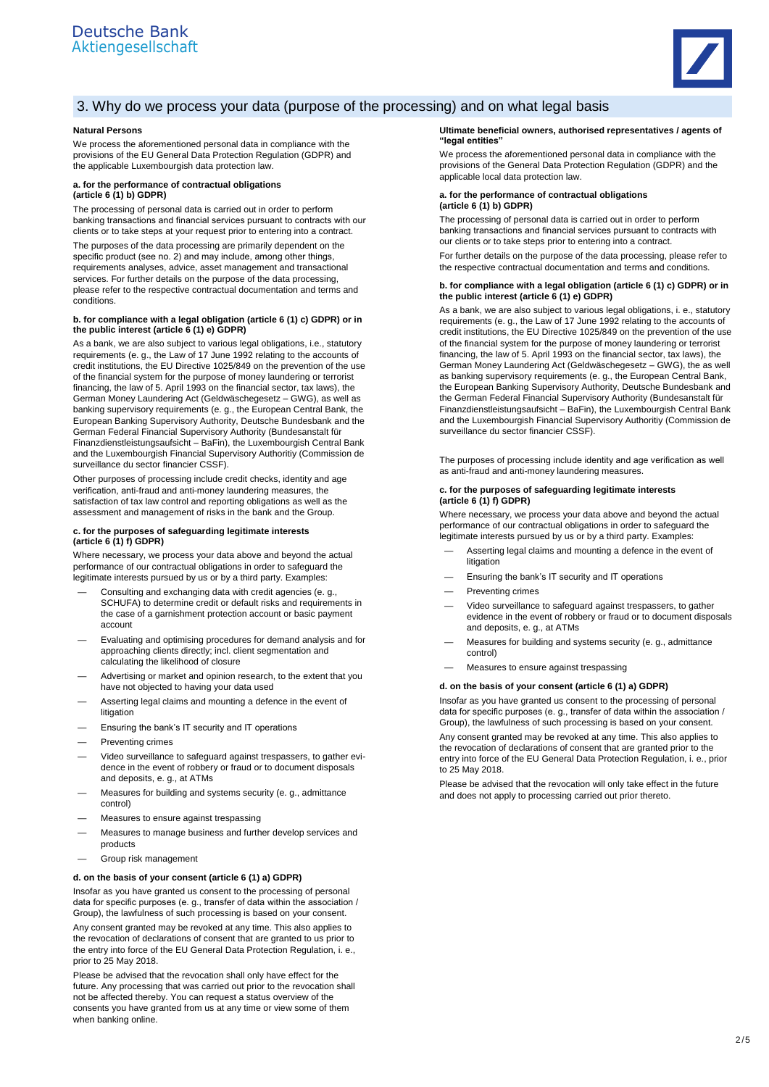

## 3. Why do we process your data (purpose of the processing) and on what legal basis

#### **Natural Persons**

We process the aforementioned personal data in compliance with the provisions of the EU General Data Protection Regulation (GDPR) and the applicable Luxembourgish data protection law.

#### **a. for the performance of contractual obligations (article 6 (1) b) GDPR)**

The processing of personal data is carried out in order to perform banking transactions and financial services pursuant to contracts with our clients or to take steps at your request prior to entering into a contract.

The purposes of the data processing are primarily dependent on the specific product (see no. 2) and may include, among other things, requirements analyses, advice, asset management and transactional services. For further details on the purpose of the data processing, please refer to the respective contractual documentation and terms and conditions.

#### **b. for compliance with a legal obligation (article 6 (1) c) GDPR) or in the public interest (article 6 (1) e) GDPR)**

As a bank, we are also subject to various legal obligations, i.e., statutory requirements (e. g., the Law of 17 June 1992 relating to the accounts of credit institutions, the EU Directive 1025/849 on the prevention of the use of the financial system for the purpose of money laundering or terrorist financing, the law of 5. April 1993 on the financial sector, tax laws), the German Money Laundering Act (Geldwäschegesetz – GWG), as well as banking supervisory requirements (e. g., the European Central Bank, the European Banking Supervisory Authority, Deutsche Bundesbank and the German Federal Financial Supervisory Authority (Bundesanstalt für Finanzdienstleistungsaufsicht – BaFin), the Luxembourgish Central Bank and the Luxembourgish Financial Supervisory Authoritiy (Commission de surveillance du sector financier CSSF).

Other purposes of processing include credit checks, identity and age verification, anti-fraud and anti-money laundering measures, the satisfaction of tax law control and reporting obligations as well as the assessment and management of risks in the bank and the Group.

#### **c. for the purposes of safeguarding legitimate interests (article 6 (1) f) GDPR)**

Where necessary, we process your data above and beyond the actual performance of our contractual obligations in order to safeguard the legitimate interests pursued by us or by a third party. Examples:

- Consulting and exchanging data with credit agencies (e. g., SCHUFA) to determine credit or default risks and requirements in the case of a garnishment protection account or basic payment account
- Evaluating and optimising procedures for demand analysis and for approaching clients directly; incl. client segmentation and calculating the likelihood of closure
- Advertising or market and opinion research, to the extent that you have not objected to having your data used
- Asserting legal claims and mounting a defence in the event of litigation
- Ensuring the bank's IT security and IT operations
- Preventing crimes
- Video surveillance to safeguard against trespassers, to gather evidence in the event of robbery or fraud or to document disposals and deposits, e. g., at ATMs
- Measures for building and systems security (e. g., admittance control)
- Measures to ensure against trespassing
- Measures to manage business and further develop services and products
- Group risk management

#### **d. on the basis of your consent (article 6 (1) a) GDPR)**

Insofar as you have granted us consent to the processing of personal data for specific purposes (e. g., transfer of data within the association / Group), the lawfulness of such processing is based on your consent.

Any consent granted may be revoked at any time. This also applies to the revocation of declarations of consent that are granted to us prior to the entry into force of the EU General Data Protection Regulation, i. e., prior to 25 May 2018.

Please be advised that the revocation shall only have effect for the future. Any processing that was carried out prior to the revocation shall not be affected thereby. You can request a status overview of the consents you have granted from us at any time or view some of them when banking online.

#### **Ultimate beneficial owners, authorised representatives / agents of "legal entities"**

We process the aforementioned personal data in compliance with the provisions of the General Data Protection Regulation (GDPR) and the applicable local data protection law.

#### **a. for the performance of contractual obligations (article 6 (1) b) GDPR)**

The processing of personal data is carried out in order to perform banking transactions and financial services pursuant to contracts with our clients or to take steps prior to entering into a contract.

For further details on the purpose of the data processing, please refer to the respective contractual documentation and terms and conditions.

#### **b. for compliance with a legal obligation (article 6 (1) c) GDPR) or in the public interest (article 6 (1) e) GDPR)**

As a bank, we are also subject to various legal obligations, i. e., statutory requirements (e. g., the Law of 17 June 1992 relating to the accounts of credit institutions, the EU Directive 1025/849 on the prevention of the use of the financial system for the purpose of money laundering or terrorist financing, the law of 5. April 1993 on the financial sector, tax laws), the German Money Laundering Act (Geldwäschegesetz – GWG), the as well as banking supervisory requirements (e. g., the European Central Bank, the European Banking Supervisory Authority, Deutsche Bundesbank and the German Federal Financial Supervisory Authority (Bundesanstalt für Finanzdienstleistungsaufsicht – BaFin), the Luxembourgish Central Bank and the Luxembourgish Financial Supervisory Authoritiy (Commission de surveillance du sector financier CSSF).

The purposes of processing include identity and age verification as well as anti-fraud and anti-money laundering measures.

#### **c. for the purposes of safeguarding legitimate interests (article 6 (1) f) GDPR)**

Where necessary, we process your data above and beyond the actual performance of our contractual obligations in order to safeguard the legitimate interests pursued by us or by a third party. Examples:

- Asserting legal claims and mounting a defence in the event of litigation
- Ensuring the bank's IT security and IT operations
- Preventing crimes
- Video surveillance to safeguard against trespassers, to gather evidence in the event of robbery or fraud or to document disposals and deposits, e. g., at ATMs
- Measures for building and systems security (e. g., admittance control)
- Measures to ensure against trespassing

#### **d. on the basis of your consent (article 6 (1) a) GDPR)**

Insofar as you have granted us consent to the processing of personal data for specific purposes (e. g., transfer of data within the association / Group), the lawfulness of such processing is based on your consent.

Any consent granted may be revoked at any time. This also applies to the revocation of declarations of consent that are granted prior to the entry into force of the EU General Data Protection Regulation, i. e., prior to 25 May 2018.

Please be advised that the revocation will only take effect in the future and does not apply to processing carried out prior thereto.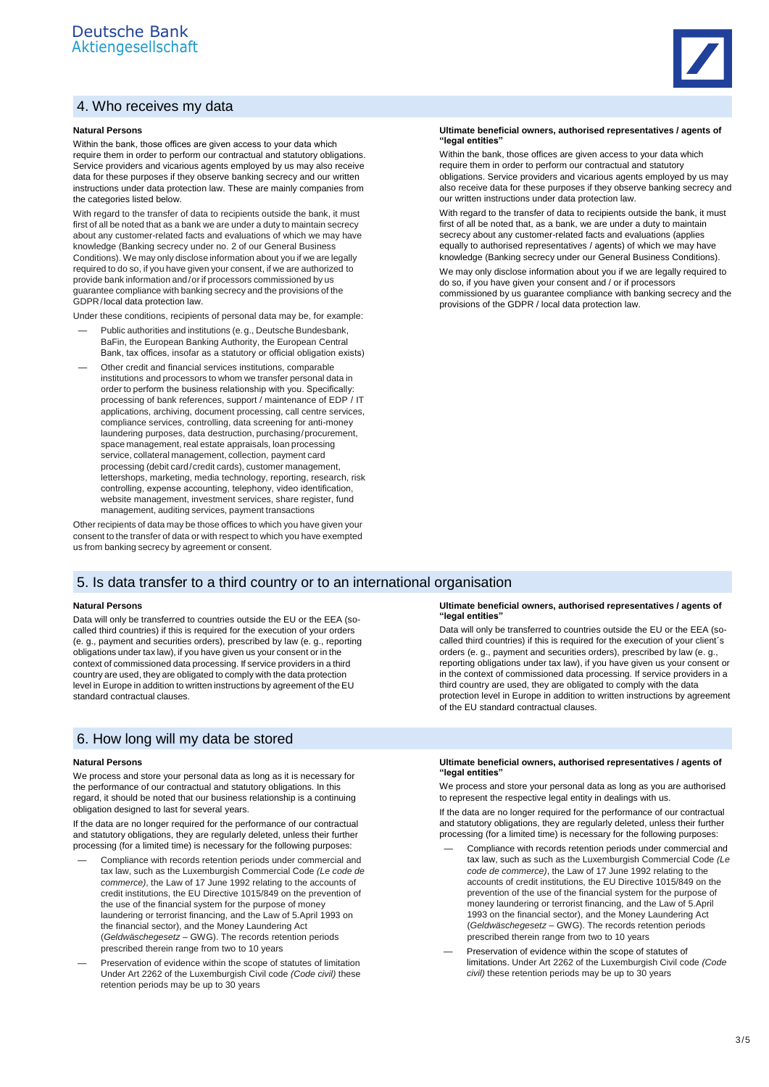## 4. Who receives my data

#### **Natural Persons**

Within the bank, those offices are given access to your data which require them in order to perform our contractual and statutory obligations. Service providers and vicarious agents employed by us may also receive data for these purposes if they observe banking secrecy and our written instructions under data protection law. These are mainly companies from the categories listed below.

With regard to the transfer of data to recipients outside the bank, it must first of all be noted that as a bank we are under a duty to maintain secrecy about any customer-related facts and evaluations of which we may have knowledge (Banking secrecy under no. 2 of our General Business Conditions). We may only disclose information about you if we are legally required to do so, if you have given your consent, if we are authorized to provide bank information and/or if processors commissioned by us guarantee compliance with banking secrecy and the provisions of the GDPR/local data protection law.

Under these conditions, recipients of personal data may be, for example:

- Public authorities and institutions (e.g., Deutsche Bundesbank, BaFin, the European Banking Authority, the European Central Bank, tax offices, insofar as a statutory or official obligation exists)
- Other credit and financial services institutions, comparable institutions and processors to whom we transfer personal data in order to perform the business relationship with you. Specifically: processing of bank references, support / maintenance of EDP / IT applications, archiving, document processing, call centre services, compliance services, controlling, data screening for anti-money laundering purposes, data destruction, purchasing/procurement, space management, real estate appraisals, loan processing service, collateral management, collection, payment card processing (debit card/credit cards), customer management, lettershops, marketing, media technology, reporting, research, risk controlling, expense accounting, telephony, video identification, website management, investment services, share register, fund management, auditing services, payment transactions

Other recipients of data may be those offices to which you have given your consent to the transfer of data or with respect to which you have exempted us from banking secrecy by agreement or consent.

## 5. Is data transfer to a third country or to an international organisation

#### **Natural Persons**

Data will only be transferred to countries outside the EU or the EEA (socalled third countries) if this is required for the execution of your orders (e. g., payment and securities orders), prescribed by law (e. g., reporting obligations under tax law), if you have given us your consent or in the context of commissioned data processing. If service providers in a third country are used, they are obligated to comply with the data protection level in Europe in addition to written instructions by agreement of the EU standard contractual clauses.

## 6. How long will my data be stored

#### **Natural Persons**

We process and store your personal data as long as it is necessary for the performance of our contractual and statutory obligations. In this regard, it should be noted that our business relationship is a continuing obligation designed to last for several years.

If the data are no longer required for the performance of our contractual and statutory obligations, they are regularly deleted, unless their further processing (for a limited time) is necessary for the following purposes:

- Compliance with records retention periods under commercial and tax law, such as the Luxemburgish Commercial Code *(Le code de commerce)*, the Law of 17 June 1992 relating to the accounts of credit institutions, the EU Directive 1015/849 on the prevention of the use of the financial system for the purpose of money laundering or terrorist financing, and the Law of 5.April 1993 on the financial sector), and the Money Laundering Act (*Geldwäschegesetz* – GWG). The records retention periods prescribed therein range from two to 10 years
- Preservation of evidence within the scope of statutes of limitation Under Art 2262 of the Luxemburgish Civil code *(Code civil)* these retention periods may be up to 30 years

#### **Ultimate beneficial owners, authorised representatives / agents of "legal entities"**

Within the bank, those offices are given access to your data which require them in order to perform our contractual and statutory obligations. Service providers and vicarious agents employed by us may also receive data for these purposes if they observe banking secrecy and our written instructions under data protection law.

With regard to the transfer of data to recipients outside the bank, it must first of all be noted that, as a bank, we are under a duty to maintain secrecy about any customer-related facts and evaluations (applies equally to authorised representatives / agents) of which we may have knowledge (Banking secrecy under our General Business Conditions).

We may only disclose information about you if we are legally required to do so, if you have given your consent and / or if processors commissioned by us guarantee compliance with banking secrecy and the provisions of the GDPR / local data protection law.

#### **Ultimate beneficial owners, authorised representatives / agents of "legal entities"**

Data will only be transferred to countries outside the EU or the EEA (socalled third countries) if this is required for the execution of your client´s orders (e. g., payment and securities orders), prescribed by law (e. g., reporting obligations under tax law), if you have given us your consent or in the context of commissioned data processing. If service providers in a third country are used, they are obligated to comply with the data protection level in Europe in addition to written instructions by agreement of the EU standard contractual clauses.

#### **Ultimate beneficial owners, authorised representatives / agents of "legal entities"**

We process and store your personal data as long as you are authorised to represent the respective legal entity in dealings with us.

If the data are no longer required for the performance of our contractual and statutory obligations, they are regularly deleted, unless their further processing (for a limited time) is necessary for the following purposes:

- Compliance with records retention periods under commercial and tax law, such as such as the Luxemburgish Commercial Code *(Le code de commerce)*, the Law of 17 June 1992 relating to the accounts of credit institutions, the EU Directive 1015/849 on the prevention of the use of the financial system for the purpose of money laundering or terrorist financing, and the Law of 5.April 1993 on the financial sector), and the Money Laundering Act (*Geldwäschegesetz* – GWG). The records retention periods prescribed therein range from two to 10 years
- Preservation of evidence within the scope of statutes of limitations. Under Art 2262 of the Luxemburgish Civil code *(Code civil)* these retention periods may be up to 30 years

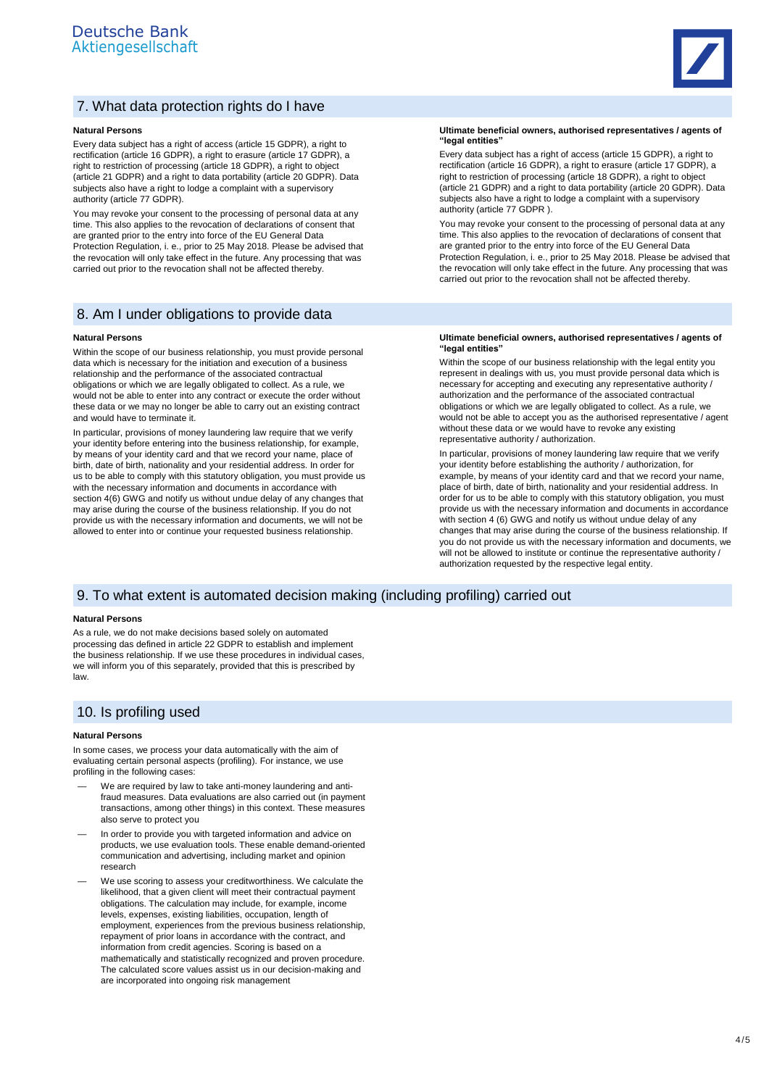

## 7. What data protection rights do I have

#### **Natural Persons**

Every data subject has a right of access (article 15 GDPR), a right to rectification (article 16 GDPR), a right to erasure (article 17 GDPR), a right to restriction of processing (article 18 GDPR), a right to object (article 21 GDPR) and a right to data portability (article 20 GDPR). Data subjects also have a right to lodge a complaint with a supervisory authority (article 77 GDPR).

You may revoke your consent to the processing of personal data at any time. This also applies to the revocation of declarations of consent that are granted prior to the entry into force of the EU General Data Protection Regulation, i. e., prior to 25 May 2018. Please be advised that the revocation will only take effect in the future. Any processing that was carried out prior to the revocation shall not be affected thereby.

### 8. Am I under obligations to provide data

#### **Natural Persons**

Within the scope of our business relationship, you must provide personal data which is necessary for the initiation and execution of a business relationship and the performance of the associated contractual obligations or which we are legally obligated to collect. As a rule, we would not be able to enter into any contract or execute the order without these data or we may no longer be able to carry out an existing contract and would have to terminate it.

In particular, provisions of money laundering law require that we verify your identity before entering into the business relationship, for example, by means of your identity card and that we record your name, place of birth, date of birth, nationality and your residential address. In order for us to be able to comply with this statutory obligation, you must provide us with the necessary information and documents in accordance with section 4(6) GWG and notify us without undue delay of any changes that may arise during the course of the business relationship. If you do not provide us with the necessary information and documents, we will not be allowed to enter into or continue your requested business relationship.

**Ultimate beneficial owners, authorised representatives / agents of "legal entities"**

Every data subject has a right of access (article 15 GDPR), a right to rectification (article 16 GDPR), a right to erasure (article 17 GDPR), a right to restriction of processing (article 18 GDPR), a right to object (article 21 GDPR) and a right to data portability (article 20 GDPR). Data subjects also have a right to lodge a complaint with a supervisory authority (article 77 GDPR ).

You may revoke your consent to the processing of personal data at any time. This also applies to the revocation of declarations of consent that are granted prior to the entry into force of the EU General Data Protection Regulation, i. e., prior to 25 May 2018. Please be advised that the revocation will only take effect in the future. Any processing that was carried out prior to the revocation shall not be affected thereby.

#### **Ultimate beneficial owners, authorised representatives / agents of "legal entities"**

Within the scope of our business relationship with the legal entity you represent in dealings with us, you must provide personal data which is necessary for accepting and executing any representative authority / authorization and the performance of the associated contractual obligations or which we are legally obligated to collect. As a rule, we would not be able to accept you as the authorised representative / agent without these data or we would have to revoke any existing representative authority / authorization.

In particular, provisions of money laundering law require that we verify your identity before establishing the authority / authorization, for example, by means of your identity card and that we record your name, place of birth, date of birth, nationality and your residential address. In order for us to be able to comply with this statutory obligation, you must provide us with the necessary information and documents in accordance with section 4 (6) GWG and notify us without undue delay of any changes that may arise during the course of the business relationship. If you do not provide us with the necessary information and documents, we will not be allowed to institute or continue the representative authority / authorization requested by the respective legal entity.

## 9. To what extent is automated decision making (including profiling) carried out

#### **Natural Persons**

As a rule, we do not make decisions based solely on automated processing das defined in article 22 GDPR to establish and implement the business relationship. If we use these procedures in individual cases, we will inform you of this separately, provided that this is prescribed by law.

## 10. Is profiling used

#### **Natural Persons**

In some cases, we process your data automatically with the aim of evaluating certain personal aspects (profiling). For instance, we use profiling in the following cases:

- We are required by law to take anti-money laundering and antifraud measures. Data evaluations are also carried out (in payment transactions, among other things) in this context. These measures also serve to protect you
- In order to provide you with targeted information and advice on products, we use evaluation tools. These enable demand-oriented communication and advertising, including market and opinion research
- We use scoring to assess your creditworthiness. We calculate the likelihood, that a given client will meet their contractual payment obligations. The calculation may include, for example, income levels, expenses, existing liabilities, occupation, length of employment, experiences from the previous business relationship, repayment of prior loans in accordance with the contract, and information from credit agencies. Scoring is based on a mathematically and statistically recognized and proven procedure. The calculated score values assist us in our decision-making and are incorporated into ongoing risk management